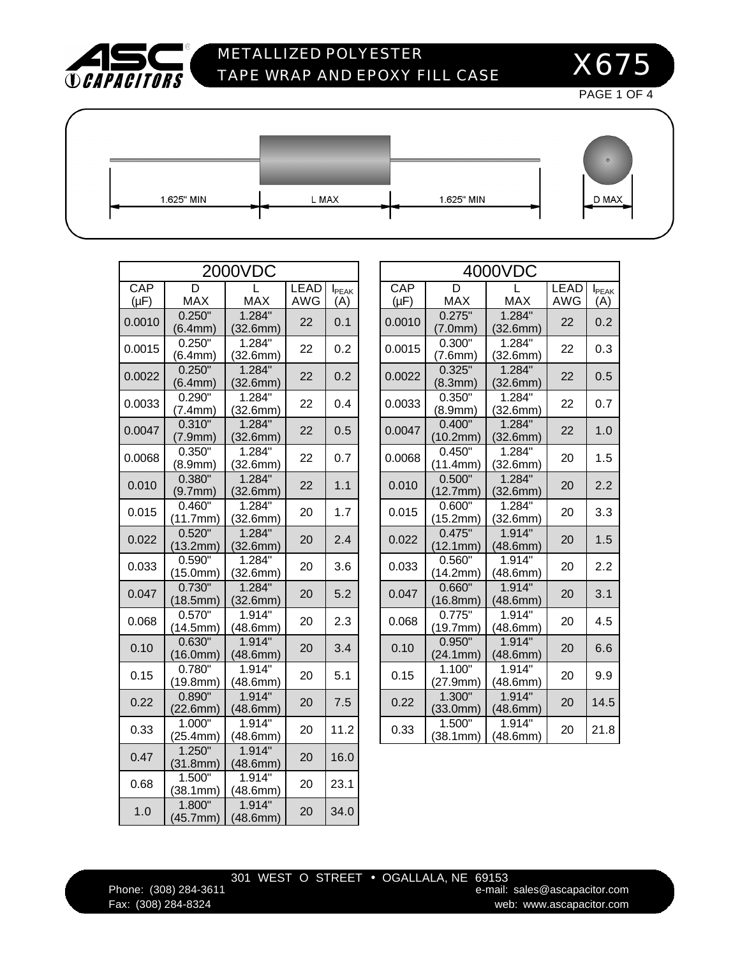

 $\Gamma$ 

# METALLIZED POLYESTER TAPE WRAP AND EPOXY FILL CASE

X675

PAGE 1 OF 4

1.625" MIN

L MAX

| D MAX |
|-------|
|       |

|           | 2000VDC                         |                    |             | 4             |           |                                 |
|-----------|---------------------------------|--------------------|-------------|---------------|-----------|---------------------------------|
| CAP       | D                               |                    | <b>LEAD</b> | <b>I</b> PEAK | CAP       | D                               |
| $(\mu F)$ | <b>MAX</b>                      | <b>MAX</b>         | <b>AWG</b>  | (A)           | $(\mu F)$ | <b>MAX</b>                      |
| 0.0010    | 0.250"<br>(6.4mm)               | 1.284"<br>(32.6mm) | 22          | 0.1           | 0.0010    | 0.275<br>(7.0 <sub>mr</sub> )   |
| 0.0015    | $0.250$ <sup>"</sup><br>(6.4mm) | 1.284<br>(32.6mm)  | 22          | 0.2           | 0.0015    | 0.300<br>(7.6 <sub>mm</sub> )   |
| 0.0022    | 0.250"<br>(6.4mm)               | 1.284"<br>(32.6mm) | 22          | 0.2           | 0.0022    | 0.325"<br>(8.3 <sub>mm</sub> )  |
| 0.0033    | 0.290"<br>(7.4mm)               | 1.284"<br>(32.6mm) | 22          | 0.4           | 0.0033    | 0.350"<br>(8.9 <sub>mm</sub> )  |
| 0.0047    | 0.310"<br>(7.9 <sub>mm</sub> )  | 1.284"<br>(32.6mm) | 22          | 0.5           | 0.0047    | 0.400"<br>(10.2 <sup>mr</sup> ) |
| 0.0068    | 0.350"<br>(8.9 <sub>mm</sub> )  | 1.284"<br>(32.6mm) | 22          | 0.7           | 0.0068    | 0.450<br>(11.4mr                |
| 0.010     | 0.380"<br>(9.7mm)               | 1.284"<br>(32.6mm) | 22          | 1.1           | 0.010     | 0.500"<br>(12.7mr               |
| 0.015     | 0.460<br>(11.7mm)               | 1.284<br>(32.6mm)  | 20          | 1.7           | 0.015     | 0.600<br>(15.2 <sup>m</sup> )   |
| 0.022     | 0.520"<br>(13.2mm)              | 1.284"<br>(32.6mm) | 20          | 2.4           | 0.022     | 0.475"<br>(12.1 <sub>mr</sub>   |
| 0.033     | 0.590"<br>(15.0mm)              | 1.284<br>(32.6mm)  | 20          | 3.6           | 0.033     | 0.560<br>(14.2mr                |
| 0.047     | 0.730"<br>(18.5mm)              | 1.284"<br>(32.6mm) | 20          | 5.2           | 0.047     | 0.660"<br>(16.8 <sup>m</sup> )  |
| 0.068     | 0.570"<br>(14.5mm)              | 1.914"<br>(48.6mm) | 20          | 2.3           | 0.068     | 0.775<br>(19.7 <sub>mr</sub>    |
| 0.10      | 0.630"<br>(16.0mm)              | 1.914"<br>(48.6mm) | 20          | 3.4           | 0.10      | 0.950"<br>(24.1 <sub>mr</sub>   |
| 0.15      | 0.780<br>(19.8mm)               | 1.914"<br>(48.6mm) | 20          | 5.1           | 0.15      | 1.100<br>(27.9 <sup>mr</sup> )  |
| 0.22      | 0.890"<br>(22.6mm)              | 1.914"<br>(48.6mm) | 20          | 7.5           | 0.22      | 1.300"<br>(33.0 <sub>mr</sub> ) |
| 0.33      | 1.000"<br>(25.4mm)              | 1.914"<br>(48.6mm) | 20          | 11.2          | 0.33      | 1.500<br>(38.1mr                |
| 0.47      | 1.250"<br>(31.8mm)              | 1.914"<br>(48.6mm) | 20          | 16.0          |           |                                 |
| 0.68      | 1.500"<br>(38.1mm)              | 1.914"<br>(48.6mm) | 20          | 23.1          |           |                                 |
| 1.0       | $1.800$ "<br>(45.7mm)           | 1.914"<br>(48.6mm) | 20          | 34.0          |           |                                 |

|                         | 2000VDC                          |                           |                      | 4000VDC          |                                |                                 |                           |                      |  |
|-------------------------|----------------------------------|---------------------------|----------------------|------------------|--------------------------------|---------------------------------|---------------------------|----------------------|--|
| X                       | <b>MAX</b>                       | <b>LEAD</b><br><b>AWG</b> | <b>I</b> PEAK<br>(A) | CAP<br>$(\mu F)$ | D<br><b>MAX</b>                | <b>MAX</b>                      | <b>LEAD</b><br><b>AWG</b> | <b>I</b> PEAK<br>(A) |  |
| $\overline{O}$<br>m)    | $1.284$ "<br>(32.6mm)            | 22                        | 0.1                  | 0.0010           | 0.275"<br>(7.0mm)              | 1.284"<br>(32.6mm)              | 22                        | 0.2                  |  |
| $0$ "<br>m)<br>0"       | 1.284"<br>(32.6mm)               | 22                        | 0.2                  | 0.0015           | 0.300"<br>(7.6mm)              | 1.284"<br>(32.6mm)              | 22                        | 0.3                  |  |
| <u>m)</u><br>0"         | 1.284"<br>(32.6mm)               | 22                        | 0.2                  | 0.0022           | 0.325"<br>(8.3mm)              | 1.284"<br>(32.6mm)              | 22                        | 0.5                  |  |
| m)<br>0"                | 1.284"<br>(32.6mm)               | 22                        | 0.4                  | 0.0033           | 0.350"<br>(8.9 <sub>mm</sub> ) | 1.284"<br>(32.6mm)              | 22                        | 0.7                  |  |
| m)<br>0"                | 1.284"<br>(32.6mm)               | 22                        | 0.5                  | 0.0047           | 0.400"<br>(10.2mm)             | 1.284"<br>(32.6mm)              | 22                        | 1.0                  |  |
| m)<br>0"                | 1.284"<br>(32.6mm)               | 22                        | 0.7                  | 0.0068           | 0.450"<br>(11.4mm)             | $1.284$ "<br>(32.6mm)           | 20                        | 1.5                  |  |
| <u>m)</u>               | 1.284"<br>(32.6mm)               | 22                        | 1.1                  | 0.010            | 0.500"<br>(12.7mm)             | 1.284"<br>(32.6mm)              | 20                        | 2.2                  |  |
| $\frac{1}{0}$<br>nm)    | 1.284"<br>(32.6mm)               | 20                        | 1.7                  | 0.015            | 0.600"<br>(15.2mm)             | 1.284"<br>(32.6mm)              | 20                        | 3.3                  |  |
| $0^{\mathsf{u}}$<br>nm) | 1.284"<br>(32.6mm)               | 20                        | 2.4                  | 0.022            | 0.475"<br>(12.1mm)             | 1.914"<br>(48.6mm)              | 20                        | 1.5                  |  |
| $\overline{0}$ "<br>nm) | 1.284"<br>(32.6mm)               | 20                        | 3.6                  | 0.033            | 0.560"<br>(14.2mm)             | 1.914"<br>(48.6mm)              | 20                        | 2.2                  |  |
| $\overline{O}$<br>nm)   | 1.284"<br>(32.6mm)               | 20                        | 5.2                  | 0.047            | 0.660"<br>(16.8mm)             | 1.914"<br>(48.6 <sub>mm</sub> ) | 20                        | 3.1                  |  |
| $\overline{0}$ "<br>nm) | 1.914<br>(48.6mm)                | 20                        | 2.3                  | 0.068            | 0.775<br>(19.7mm)              | 1.914"<br>(48.6mm)              | 20                        | 4.5                  |  |
| $\overline{0}$ "<br>nm) | 1.914"<br>(48.6mm)               | 20                        | 3.4                  | 0.10             | 0.950"<br>(24.1mm)             | 1.914"<br>(48.6mm)              | 20                        | 6.6                  |  |
| $\overline{0}$ "<br>nm) | 1.914"<br>(48.6mm)               | 20                        | 5.1                  | 0.15             | 1.100"<br>(27.9mm)             | 1.914"<br>(48.6mm)              | 20                        | 9.9                  |  |
| $0$ "<br>nm)            | 1.914"<br>(48.6mm)               | 20                        | 7.5                  | 0.22             | 1.300"<br>(33.0mm)             | 1.914"<br>(48.6mm)              | 20                        | 14.5                 |  |
| $\overline{O''}$<br>nm) | $1.914$ <sup>"</sup><br>(48.6mm) | 20                        | 11.2                 | 0.33             | 1.500"<br>(38.1mm)             | $1.914$ "<br>(48.6mm)           | 20                        | 21.8                 |  |

1.625" MIN

### 301 WEST O STREET • OGALLALA, NE 69153

Phone: (308) 284-3611 **Example 284-3611** e-mail: sales@ascapacitor.com Fax: (308) 284-8324 web: www.ascapacitor.com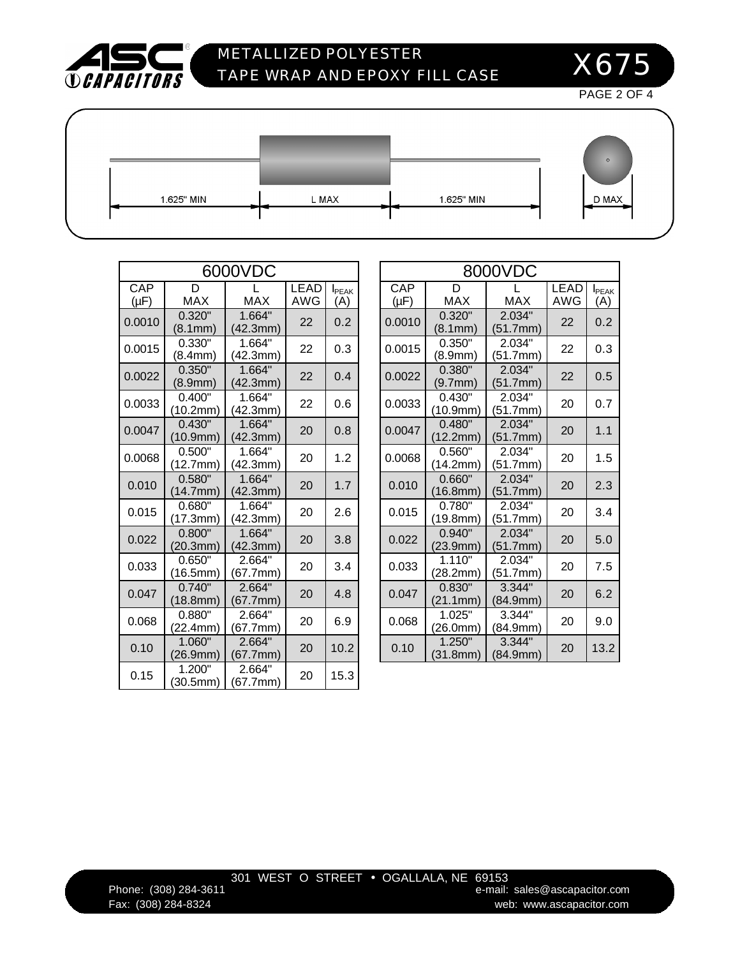

## METALLIZED POLYESTER TAPE WRAP AND EPOXY FILL CASE

X675

PAGE 2 OF 4

1.625" MIN

L MAX

| 1.625" MIN |  |
|------------|--|
|            |  |

| n     |  |
|-------|--|
| D MAX |  |

|                  | 6000VDC                          |                                  |                    | 8                    |                  |                                 |
|------------------|----------------------------------|----------------------------------|--------------------|----------------------|------------------|---------------------------------|
| CAP<br>$(\mu F)$ | D<br><b>MAX</b>                  | <b>MAX</b>                       | <b>LEAD</b><br>AWG | <b>I</b> PEAK<br>(A) | CAP<br>$(\mu F)$ | D<br><b>MAX</b>                 |
| 0.0010           | 0.320"<br>(8.1mm)                | 1.664"<br>(42.3mm)               | 22                 | 0.2                  | 0.0010           | 0.320"<br>(8.1 <sub>mm</sub> )  |
| 0.0015           | 0.330"<br>(8.4mm)                | 1.664"<br>(42.3mm)               | 22                 | 0.3                  | 0.0015           | 0.350<br>(8.9 <sub>mr</sub> )   |
| 0.0022           | 0.350"<br>(8.9mm)                | 1.664"<br>(42.3mm)               | 22                 | 0.4                  | 0.0022           | 0.380"<br>(9.7 <sub>mm</sub> )  |
| 0.0033           | 0.400"<br>(10.2mm)               | 1.664"<br>(42.3mm)               | 22                 | 0.6                  | 0.0033           | 0.430"<br>(10.9 <sub>mr</sub> ) |
| 0.0047           | 0.430<br>(10.9mm)                | 1.664"<br>(42.3mm)               | 20                 | 0.8                  | 0.0047           | 0.480"<br>(12.2 <sub>mr</sub> ) |
| 0.0068           | 0.500"<br>(12.7mm)               | 1.664"<br>(42.3mm)               | 20                 | 1.2                  | 0.0068           | 0.560"<br>(14.2mr               |
| 0.010            | 0.580<br>(14.7mm)                | 1.664"<br>(42.3mm)               | 20                 | 1.7                  | 0.010            | 0.660"<br>(16.8 <sub>mr</sub> ) |
| 0.015            | 0.680"<br>(17.3mm)               | 1.664"<br>(42.3mm)               | 20                 | 2.6                  | 0.015            | 0.780"<br>(19.8mr               |
| 0.022            | 0.800"<br>(20.3mm)               | 1.664"<br>(42.3mm)               | 20                 | 3.8                  | 0.022            | 0.940"<br>(23.9 <sup>mr</sup> ) |
| 0.033            | $0.650$ <sup>"</sup><br>(16.5mm) | $2.664$ <sup>"</sup><br>(67.7mm) | 20                 | 3.4                  | 0.033            | 1.110"<br>(28.2mr               |
| 0.047            | 0.740"<br>(18.8mm)               | 2.664"<br>(67.7mm)               | 20                 | 4.8                  | 0.047            | 0.830"<br>(21.1 <sub>mr</sub>   |
| 0.068            | 0.880"<br>(22.4mm)               | 2.664"<br>(67.7mm)               | 20                 | 6.9                  | 0.068            | 1.025"<br>(26.0mr               |
| 0.10             | 1.060<br>(26.9mm)                | 2.664"<br>(67.7mm)               | 20                 | 10.2                 | 0.10             | 1.250"<br>(31.8mr               |
| 0.15             | 1.200"<br>(30.5mm)               | 2.664"<br>(67.7mm)               | 20                 | 15.3                 |                  |                                 |

|                         | 6000VDC            |                    |                                 | 8000VDC          |                               |                                  |                    |                                 |  |
|-------------------------|--------------------|--------------------|---------------------------------|------------------|-------------------------------|----------------------------------|--------------------|---------------------------------|--|
| X                       | <b>MAX</b>         | <b>LEAD</b><br>AWG | <b>I</b> <sub>PEAK</sub><br>(A) | CAP<br>$(\mu F)$ | D<br><b>MAX</b><br><b>MAX</b> |                                  | <b>LEAD</b><br>AWG | <b>I</b> <sub>PEAK</sub><br>(A) |  |
| $0$ "<br>m)<br>0"       | 1.664"<br>(42.3mm) | 22                 | 0.2                             | 0.0010           | 0.320"<br>(8.1mm)             | 2.034"<br>(51.7mm)               | 22                 | 0.2                             |  |
| m)                      | 1.664"<br>(42.3mm) | 22                 | 0.3                             | 0.0015           | 0.350"<br>(8.9mm)             | 2.034"<br>(51.7mm)               | 22                 | 0.3                             |  |
| $0$ "<br>m)<br>0"       | 1.664"<br>(42.3mm) | 22                 | 0.4                             | 0.0022           | 0.380"<br>(9.7mm)             | 2.034"<br>(51.7mm)               | 22                 | 0.5                             |  |
| nm)                     | 1.664"<br>(42.3mm) | 22                 | 0.6                             | 0.0033           | 0.430"<br>(10.9mm)            | 2.034"<br>(51.7mm)               | 20                 | 0.7                             |  |
| $0$ "<br>nm)            | 1.664"<br>(42.3mm) | 20                 | 0.8                             | 0.0047           | 0.480"<br>(12.2mm)            | 2.034"<br>(51.7mm)               | 20                 | 1.1                             |  |
| $0^{\circ}$<br>nm)      | 1.664"<br>(42.3mm) | 20                 | 1.2                             | 0.0068           | 0.560"<br>(14.2mm)            | 2.034"<br>(51.7mm)               | 20                 | 1.5                             |  |
| $0$ "<br>nm)            | 1.664"<br>(42.3mm) | 20                 | 1.7                             | 0.010            | 0.660"<br>(16.8mm)            | 2.034"<br>(51.7mm)               | 20                 | 2.3                             |  |
| $\overline{0}$ "<br>nm) | 1.664"<br>(42.3mm) | 20                 | 2.6                             | 0.015            | 0.780"<br>(19.8mm)            | 2.034"<br>(51.7mm)               | 20                 | 3.4                             |  |
| $0^{\mathsf{m}}$<br>nm) | 1.664"<br>(42.3mm) | 20                 | 3.8                             | 0.022            | 0.940"<br>(23.9mm)            | 2.034"<br>(51.7mm)               | 20                 | 5.0                             |  |
| $\overline{0}$ "<br>nm) | 2.664"<br>67.7mm)  | 20                 | 3.4                             | 0.033            | 1.110"<br>(28.2mm)            | $2.034$ <sup>"</sup><br>(51.7mm) | 20                 | 7.5                             |  |
| $0$ "<br>nm)            | 2.664"<br>(67.7mm) | 20                 | 4.8                             | 0.047            | 0.830"<br>(21.1mm)            | 3.344"<br>(84.9mm)               | 20                 | 6.2                             |  |
| $\overline{0}$ "<br>nm) | 2.664"<br>(67.7mm) | 20                 | 6.9                             | 0.068            | 1.025"<br>(26.0mm)            | 3.344"<br>(84.9mm)               | 20                 | 9.0                             |  |
| $0$ "<br>nm)            | 2.664"<br>(67.7mm) | 20                 | 10.2                            | 0.10             | 1.250"<br>(31.8mm)            | 3.344"<br>(84.9mm)               | 20                 | 13.2                            |  |

### 301 WEST O STREET • OGALLALA, NE 69153

Phone: (308) 284-3611 **Phone:** (308) 284-3611 Fax: (308) 284-8324 web: www.ascapacitor.com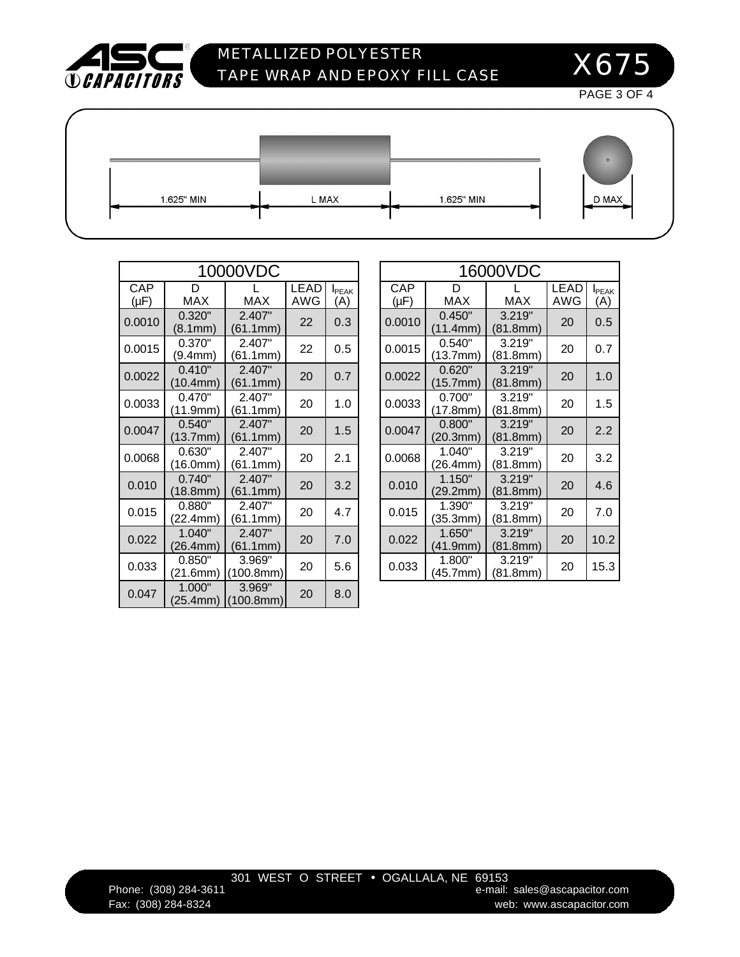

## METALLIZED POLYESTER TAPE WRAP AND EPOXY FILL CASE

X675

PAGE 3 OF 4

D MAX

1.625" MIN

| ים ו<br>v |  |
|-----------|--|
|           |  |

|                  |                                 | 10000VDC            |                    |                      |                  |                    | 16000VDC           |
|------------------|---------------------------------|---------------------|--------------------|----------------------|------------------|--------------------|--------------------|
| CAP<br>$(\mu F)$ | D<br><b>MAX</b>                 | <b>MAX</b>          | <b>LEAD</b><br>AWG | <b>I</b> PEAK<br>(A) | CAP<br>$(\mu F)$ | D<br><b>MAX</b>    | <b>MAX</b>         |
| 0.0010           | 0.320"<br>(8.1mm)               | 2.407"<br>(61.1mm)  | 22                 | 0.3                  | 0.0010           | 0.450"<br>(11.4mm) | 3.219"<br>(81.8mm) |
| 0.0015           | 0.370"<br>(9.4mm)               | 2.407"<br>(61.1mm)  | 22                 | 0.5                  | 0.0015           | 0.540"<br>(13.7mm) | 3.219"<br>(81.8mm) |
| 0.0022           | 0.410"<br>(10.4mm)              | 2.407"<br>(61.1mm)  | 20                 | 0.7                  | 0.0022           | 0.620"<br>(15.7mm) | 3.219"<br>(81.8mm) |
| 0.0033           | 0.470"<br>(11.9mm)              | 2.407"<br>(61.1mm)  | 20                 | 1.0                  | 0.0033           | 0.700"<br>(17.8mm) | 3.219"<br>(81.8mm) |
| 0.0047           | 0.540"<br>(13.7 <sub>mm</sub> ) | 2.407"<br>(61.1mm)  | 20                 | 1.5                  | 0.0047           | 0.800"<br>(20.3mm) | 3.219"<br>(81.8mm) |
| 0.0068           | 0.630"<br>(16.0mm)              | 2.407"<br>(61.1mm)  | 20                 | 2.1                  | 0.0068           | 1.040"<br>(26.4mm) | 3.219"<br>(81.8mm) |
| 0.010            | 0.740"<br>(18.8 <sub>mm</sub> ) | 2.407"<br>(61.1mm)  | 20                 | 3.2                  | 0.010            | 1.150"<br>(29.2mm) | 3.219"<br>(81.8mm) |
| 0.015            | 0.880"<br>(22.4mm)              | 2.407"<br>(61.1mm)  | 20                 | 4.7                  | 0.015            | 1.390"<br>(35.3mm) | 3.219"<br>(81.8mm) |
| 0.022            | 1.040"<br>(26.4mm)              | 2.407"<br>(61.1mm)  | 20                 | 7.0                  | 0.022            | 1.650"<br>(41.9mm) | 3.219"<br>(81.8mm) |
| 0.033            | 0.850"<br>(21.6mm)              | 3.969"<br>(100.8mm) | 20                 | 5.6                  | 0.033            | 1.800"<br>(45.7mm) | 3.219"<br>(81.8mm) |
| 0.047            | 1.000"<br>(25.4mm)              | 3.969"<br>(100.8mm) | 20                 | 8.0                  |                  |                    |                    |

| 16000VDC |                                   |                    |     |      |  |  |  |  |  |  |
|----------|-----------------------------------|--------------------|-----|------|--|--|--|--|--|--|
| CAP      | <b>LEAD</b><br>D<br><b>I</b> PFAK |                    |     |      |  |  |  |  |  |  |
| (µF)     | MAX                               | <b>MAX</b>         | AWG | (A)  |  |  |  |  |  |  |
| 0.0010   | 0.450"<br>(11.4mm)                | 3.219"<br>(81.8mm) | 20  | 0.5  |  |  |  |  |  |  |
| 0.0015   | 0.540"<br>(13.7mm)                | 3.219"<br>(81.8mm) | 20  | 0.7  |  |  |  |  |  |  |
| 0.0022   | 0.620"<br>(15.7mm)                | 3.219"<br>(81.8mm) | 20  | 1.0  |  |  |  |  |  |  |
| 0.0033   | 0.700"<br>(17.8mm)                | 3.219"<br>(81.8mm) | 20  | 1.5  |  |  |  |  |  |  |
| 0.0047   | 0.800"<br>(20.3mm)                | 3.219"<br>(81.8mm) | 20  | 2.2  |  |  |  |  |  |  |
| 0.0068   | 1.040"<br>(26.4mm)                | 3.219"<br>(81.8mm) | 20  | 3.2  |  |  |  |  |  |  |
| 0.010    | 1.150"<br>(29.2mm)                | 3.219"<br>(81.8mm) | 20  | 4.6  |  |  |  |  |  |  |
| 0.015    | 1.390"<br>(35.3mm)                | 3.219"<br>(81.8mm) | 20  | 7.0  |  |  |  |  |  |  |
| 0.022    | 1.650"<br>(41.9mm)                | 3.219"<br>(81.8mm) | 20  | 10.2 |  |  |  |  |  |  |
| 0.033    | 1.800"<br>(45.7mm)                | 3.219"<br>(81.8mm) | 20  | 15.3 |  |  |  |  |  |  |

1.625" MIN